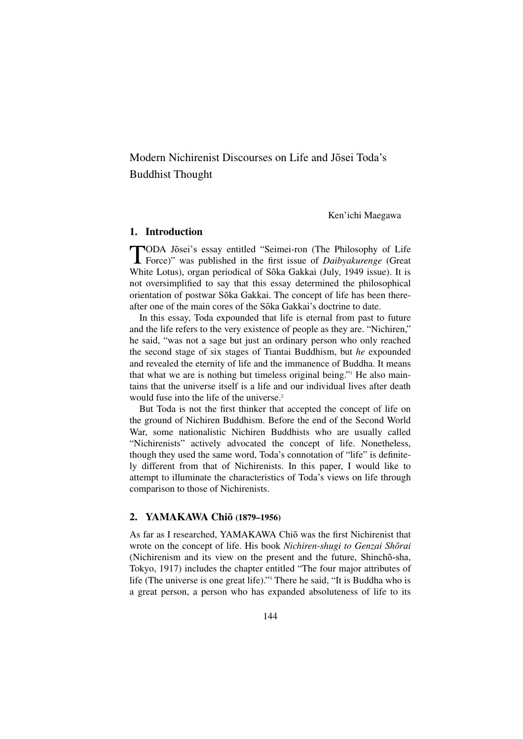Modern Nichirenist Discourses on Life and Josei Toda's Buddhist Thought

Ken'ichi Maegawa

### **1. Introduction**

TODA Jōsei's essay entitled "Seimei-ron (The Philosophy of Life<br>Force)" was published in the first issue of *Daibyakurenge* (Great White Lotus), organ periodical of Sōka Gakkai (July, 1949 issue). It is not oversimplified to say that this essay determined the philosophical orientation of postwar Sōka Gakkai. The concept of life has been thereafter one of the main cores of the Sōka Gakkai's doctrine to date.

In this essay, Toda expounded that life is eternal from past to future and the life refers to the very existence of people as they are. "Nichiren," he said, "was not a sage but just an ordinary person who only reached the second stage of six stages of Tiantai Buddhism, but *he* expounded and revealed the eternity of life and the immanence of Buddha. It means that what we are is nothing but timeless original being."1 He also maintains that the universe itself is a life and our individual lives after death would fuse into the life of the universe.<sup>2</sup>

But Toda is not the first thinker that accepted the concept of life on the ground of Nichiren Buddhism. Before the end of the Second World War, some nationalistic Nichiren Buddhists who are usually called "Nichirenists" actively advocated the concept of life. Nonetheless, though they used the same word, Toda's connotation of "life" is definitely different from that of Nichirenists. In this paper, I would like to attempt to illuminate the characteristics of Toda's views on life through comparison to those of Nichirenists.

#### **2. YAMAKAWA Chiō** (1879–1956)

As far as I researched, YAMAKAWA Chiō was the first Nichirenist that wrote on the concept of life. His book *Nichiren-shugi to Genzai Shōrai* (Nichirenism and its view on the present and the future, Shinchō-sha, Tokyo, 1917) includes the chapter entitled "The four major attributes of life (The universe is one great life)."3 There he said, "It is Buddha who is a great person, a person who has expanded absoluteness of life to its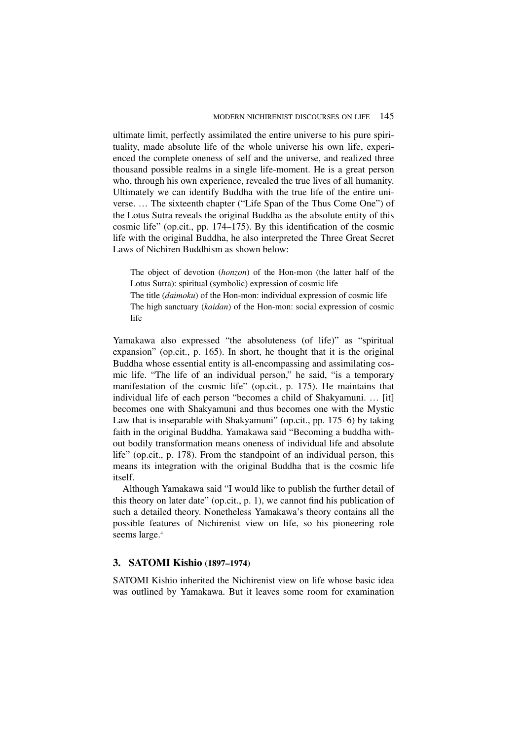ultimate limit, perfectly assimilated the entire universe to his pure spirituality, made absolute life of the whole universe his own life, experienced the complete oneness of self and the universe, and realized three thousand possible realms in a single life-moment. He is a great person who, through his own experience, revealed the true lives of all humanity. Ultimately we can identify Buddha with the true life of the entire universe. … The sixteenth chapter ("Life Span of the Thus Come One") of the Lotus Sutra reveals the original Buddha as the absolute entity of this cosmic life" (op.cit., pp. 174–175). By this identification of the cosmic life with the original Buddha, he also interpreted the Three Great Secret Laws of Nichiren Buddhism as shown below:

The object of devotion (*honzon*) of the Hon-mon (the latter half of the Lotus Sutra): spiritual (symbolic) expression of cosmic life The title (*daimoku*) of the Hon-mon: individual expression of cosmic life The high sanctuary (*kaidan*) of the Hon-mon: social expression of cosmic life

Yamakawa also expressed "the absoluteness (of life)" as "spiritual expansion" (op.cit., p. 165). In short, he thought that it is the original Buddha whose essential entity is all-encompassing and assimilating cosmic life. "The life of an individual person," he said, "is a temporary manifestation of the cosmic life" (op.cit., p. 175). He maintains that individual life of each person "becomes a child of Shakyamuni. … [it] becomes one with Shakyamuni and thus becomes one with the Mystic Law that is inseparable with Shakyamuni" (op.cit., pp. 175–6) by taking faith in the original Buddha. Yamakawa said "Becoming a buddha without bodily transformation means oneness of individual life and absolute life" (op.cit., p. 178). From the standpoint of an individual person, this means its integration with the original Buddha that is the cosmic life itself.

Although Yamakawa said "I would like to publish the further detail of this theory on later date" (op.cit., p. 1), we cannot find his publication of such a detailed theory. Nonetheless Yamakawa's theory contains all the possible features of Nichirenist view on life, so his pioneering role seems large.<sup>4</sup>

## **3. SATOMI Kishio (1897–1974)**

SATOMI Kishio inherited the Nichirenist view on life whose basic idea was outlined by Yamakawa. But it leaves some room for examination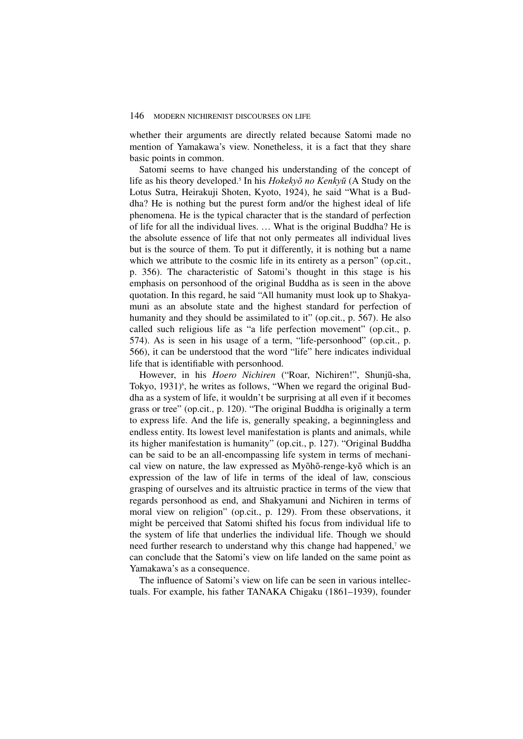whether their arguments are directly related because Satomi made no mention of Yamakawa's view. Nonetheless, it is a fact that they share basic points in common.

Satomi seems to have changed his understanding of the concept of life as his theory developed.<sup>5</sup> In his Hokekyō no Kenkyū (A Study on the Lotus Sutra, Heirakuji Shoten, Kyoto, 1924), he said "What is a Buddha? He is nothing but the purest form and/or the highest ideal of life phenomena. He is the typical character that is the standard of perfection of life for all the individual lives. … What is the original Buddha? He is the absolute essence of life that not only permeates all individual lives but is the source of them. To put it differently, it is nothing but a name which we attribute to the cosmic life in its entirety as a person" (op.cit., p. 356). The characteristic of Satomi's thought in this stage is his emphasis on personhood of the original Buddha as is seen in the above quotation. In this regard, he said "All humanity must look up to Shakyamuni as an absolute state and the highest standard for perfection of humanity and they should be assimilated to it" (op.cit., p. 567). He also called such religious life as "a life perfection movement" (op.cit., p. 574). As is seen in his usage of a term, "life-personhood" (op.cit., p. 566), it can be understood that the word "life" here indicates individual life that is identifiable with personhood.

However, in his *Hoero Nichiren* ("Roar, Nichiren!", Shunjū-sha, Tokyo, 1931)<sup>6</sup>, he writes as follows, "When we regard the original Buddha as a system of life, it wouldn't be surprising at all even if it becomes grass or tree" (op.cit., p. 120). "The original Buddha is originally a term to express life. And the life is, generally speaking, a beginningless and endless entity. Its lowest level manifestation is plants and animals, while its higher manifestation is humanity" (op.cit., p. 127). "Original Buddha can be said to be an all-encompassing life system in terms of mechanical view on nature, the law expressed as Myōhō-renge-kyō which is an expression of the law of life in terms of the ideal of law, conscious grasping of ourselves and its altruistic practice in terms of the view that regards personhood as end, and Shakyamuni and Nichiren in terms of moral view on religion" (op.cit., p. 129). From these observations, it might be perceived that Satomi shifted his focus from individual life to the system of life that underlies the individual life. Though we should need further research to understand why this change had happened,<sup>7</sup> we can conclude that the Satomi's view on life landed on the same point as Yamakawa's as a consequence.

The influence of Satomi's view on life can be seen in various intellectuals. For example, his father TANAKA Chigaku (1861–1939), founder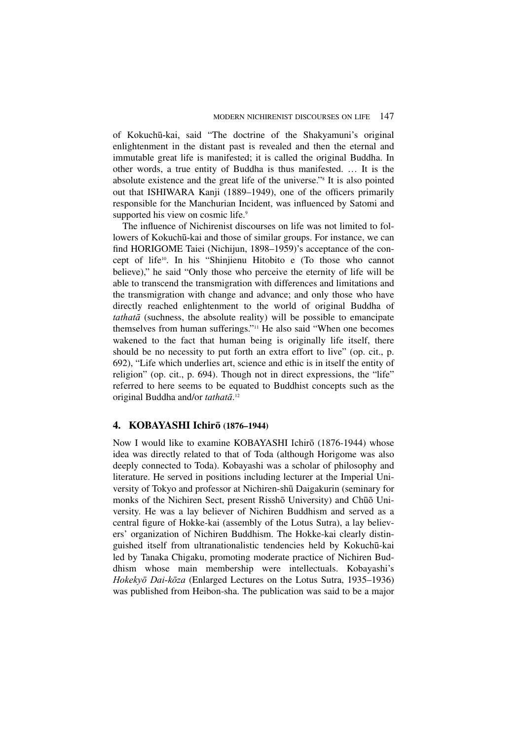of KokuchË-kai, said "The doctrine of the Shakyamuni's original enlightenment in the distant past is revealed and then the eternal and immutable great life is manifested; it is called the original Buddha. In other words, a true entity of Buddha is thus manifested. … It is the absolute existence and the great life of the universe."8 It is also pointed out that ISHIWARA Kanji (1889–1949), one of the officers primarily responsible for the Manchurian Incident, was influenced by Satomi and supported his view on cosmic life.<sup>9</sup>

The influence of Nichirenist discourses on life was not limited to followers of Kokuchū-kai and those of similar groups. For instance, we can find HORIGOME Taiei (Nichijun, 1898–1959)'s acceptance of the concept of life10. In his "Shinjienu Hitobito e (To those who cannot believe)," he said "Only those who perceive the eternity of life will be able to transcend the transmigration with differences and limitations and the transmigration with change and advance; and only those who have directly reached enlightenment to the world of original Buddha of tathatå (suchness, the absolute reality) will be possible to emancipate themselves from human sufferings."11 He also said "When one becomes wakened to the fact that human being is originally life itself, there should be no necessity to put forth an extra effort to live" (op. cit., p. 692), "Life which underlies art, science and ethic is in itself the entity of religion" (op. cit., p. 694). Though not in direct expressions, the "life" referred to here seems to be equated to Buddhist concepts such as the original Buddha and/or tathatā.<sup>12</sup>

# **4. KOBAYASHI Ichirō** (1876–1944)

Now I would like to examine KOBAYASHI Ichirō (1876-1944) whose idea was directly related to that of Toda (although Horigome was also deeply connected to Toda). Kobayashi was a scholar of philosophy and literature. He served in positions including lecturer at the Imperial University of Tokyo and professor at Nichiren-shū Daigakurin (seminary for monks of the Nichiren Sect, present Risshō University) and Chūō University. He was a lay believer of Nichiren Buddhism and served as a central figure of Hokke-kai (assembly of the Lotus Sutra), a lay believers' organization of Nichiren Buddhism. The Hokke-kai clearly distinguished itself from ultranationalistic tendencies held by Kokuchū-kai led by Tanaka Chigaku, promoting moderate practice of Nichiren Buddhism whose main membership were intellectuals. Kobayashi's Hokekyō Dai-kōza (Enlarged Lectures on the Lotus Sutra, 1935–1936) was published from Heibon-sha. The publication was said to be a major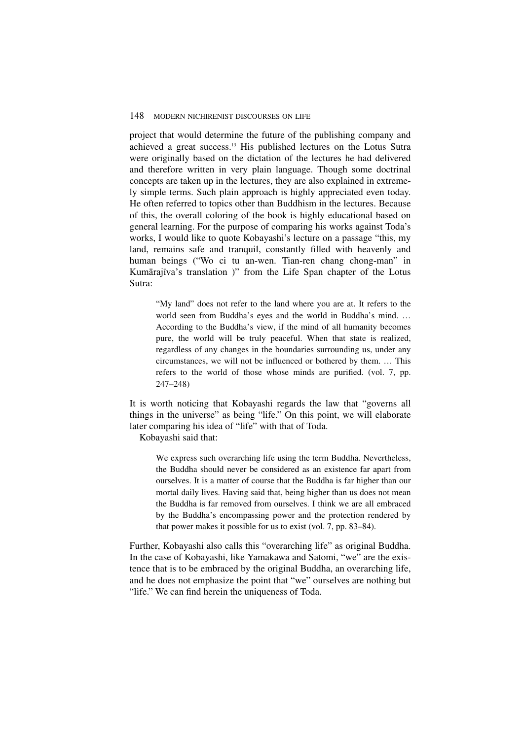project that would determine the future of the publishing company and achieved a great success.13 His published lectures on the Lotus Sutra were originally based on the dictation of the lectures he had delivered and therefore written in very plain language. Though some doctrinal concepts are taken up in the lectures, they are also explained in extremely simple terms. Such plain approach is highly appreciated even today. He often referred to topics other than Buddhism in the lectures. Because of this, the overall coloring of the book is highly educational based on general learning. For the purpose of comparing his works against Toda's works, I would like to quote Kobayashi's lecture on a passage "this, my land, remains safe and tranquil, constantly filled with heavenly and human beings ("Wo ci tu an-wen. Tian-ren chang chong-man" in Kumārajīva's translation )" from the Life Span chapter of the Lotus Sutra:

"My land" does not refer to the land where you are at. It refers to the world seen from Buddha's eyes and the world in Buddha's mind. … According to the Buddha's view, if the mind of all humanity becomes pure, the world will be truly peaceful. When that state is realized, regardless of any changes in the boundaries surrounding us, under any circumstances, we will not be influenced or bothered by them. … This refers to the world of those whose minds are purified. (vol. 7, pp. 247–248)

It is worth noticing that Kobayashi regards the law that "governs all things in the universe" as being "life." On this point, we will elaborate later comparing his idea of "life" with that of Toda.

Kobayashi said that:

We express such overarching life using the term Buddha. Nevertheless, the Buddha should never be considered as an existence far apart from ourselves. It is a matter of course that the Buddha is far higher than our mortal daily lives. Having said that, being higher than us does not mean the Buddha is far removed from ourselves. I think we are all embraced by the Buddha's encompassing power and the protection rendered by that power makes it possible for us to exist (vol. 7, pp. 83–84).

Further, Kobayashi also calls this "overarching life" as original Buddha. In the case of Kobayashi, like Yamakawa and Satomi, "we" are the existence that is to be embraced by the original Buddha, an overarching life, and he does not emphasize the point that "we" ourselves are nothing but "life." We can find herein the uniqueness of Toda.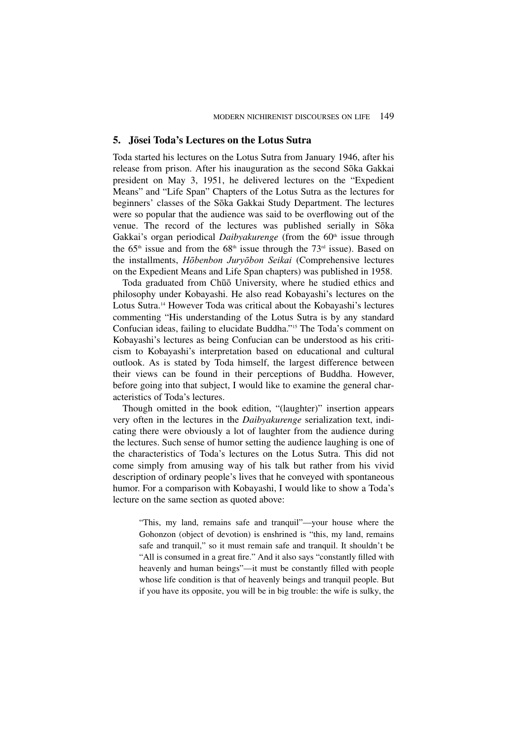## **5. J¯osei Toda's Lectures on the Lotus Sutra**

Toda started his lectures on the Lotus Sutra from January 1946, after his release from prison. After his inauguration as the second Sōka Gakkai president on May 3, 1951, he delivered lectures on the "Expedient Means" and "Life Span" Chapters of the Lotus Sutra as the lectures for beginners' classes of the Sōka Gakkai Study Department. The lectures were so popular that the audience was said to be overflowing out of the venue. The record of the lectures was published serially in Sōka Gakkai's organ periodical *Daibyakurenge* (from the 60<sup>th</sup> issue through the 65<sup>th</sup> issue and from the 68<sup>th</sup> issue through the 73<sup>rd</sup> issue). Based on the installments, Hōbenbon Juryōbon Seikai (Comprehensive lectures on the Expedient Means and Life Span chapters) was published in 1958.

Toda graduated from Chūō University, where he studied ethics and philosophy under Kobayashi. He also read Kobayashi's lectures on the Lotus Sutra.14 However Toda was critical about the Kobayashi's lectures commenting "His understanding of the Lotus Sutra is by any standard Confucian ideas, failing to elucidate Buddha."15 The Toda's comment on Kobayashi's lectures as being Confucian can be understood as his criticism to Kobayashi's interpretation based on educational and cultural outlook. As is stated by Toda himself, the largest difference between their views can be found in their perceptions of Buddha. However, before going into that subject, I would like to examine the general characteristics of Toda's lectures.

Though omitted in the book edition, "(laughter)" insertion appears very often in the lectures in the *Daibyakurenge* serialization text, indicating there were obviously a lot of laughter from the audience during the lectures. Such sense of humor setting the audience laughing is one of the characteristics of Toda's lectures on the Lotus Sutra. This did not come simply from amusing way of his talk but rather from his vivid description of ordinary people's lives that he conveyed with spontaneous humor. For a comparison with Kobayashi, I would like to show a Toda's lecture on the same section as quoted above:

"This, my land, remains safe and tranquil"—your house where the Gohonzon (object of devotion) is enshrined is "this, my land, remains safe and tranquil," so it must remain safe and tranquil. It shouldn't be "All is consumed in a great fire." And it also says "constantly filled with heavenly and human beings"—it must be constantly filled with people whose life condition is that of heavenly beings and tranquil people. But if you have its opposite, you will be in big trouble: the wife is sulky, the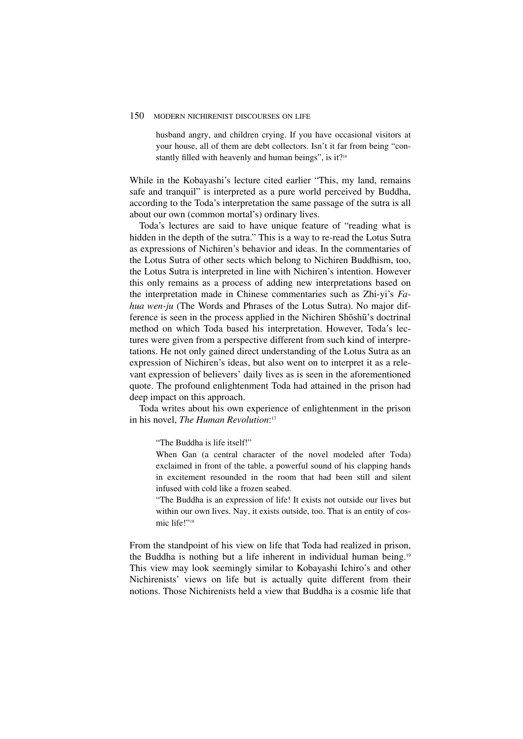#### 150 MODERN NICHIRENIST DISCOURSES ON LIFE

husband angry, and children crying. If you have occasional visitors at your house, all of them are debt collectors. Isn't it far from being "constantly filled with heavenly and human beings", is it?<sup>16</sup>

While in the Kobayashi's lecture cited earlier "This, my land, remains safe and tranquil" is interpreted as a pure world perceived by Buddha, according to the Toda's interpretation the same passage of the sutra is all about our own (common mortal's) ordinary lives.

Toda's lectures are said to have unique feature of "reading what is hidden in the depth of the sutra." This is a way to re-read the Lotus Sutra as expressions of Nichiren's behavior and ideas. In the commentaries of the Lotus Sutra of other sects which belong to Nichiren Buddhism, too, the Lotus Sutra is interpreted in line with Nichiren's intention. However this only remains as a process of adding new interpretations based on the interpretation made in Chinese commentaries such as Zhi-yi's *Fahua wen-ju* (The Words and Phrases of the Lotus Sutra). No major difference is seen in the process applied in the Nichiren Shōshū's doctrinal method on which Toda based his interpretation. However, Toda's lectures were given from a perspective different from such kind of interpretations. He not only gained direct understanding of the Lotus Sutra as an expression of Nichiren's ideas, but also went on to interpret it as a relevant expression of believers' daily lives as is seen in the aforementioned quote. The profound enlightenment Toda had attained in the prison had deep impact on this approach.

Toda writes about his own experience of enlightenment in the prison in his novel, *The Human Revolution*: 17

"The Buddha is life itself!"

When Gan (a central character of the novel modeled after Toda) exclaimed in front of the table, a powerful sound of his clapping hands in excitement resounded in the room that had been still and silent infused with cold like a frozen seabed.

"The Buddha is an expression of life! It exists not outside our lives but within our own lives. Nay, it exists outside, too. That is an entity of cosmic life!"18

From the standpoint of his view on life that Toda had realized in prison, the Buddha is nothing but a life inherent in individual human being.19 This view may look seemingly similar to Kobayashi Ichiro's and other Nichirenists' views on life but is actually quite different from their notions. Those Nichirenists held a view that Buddha is a cosmic life that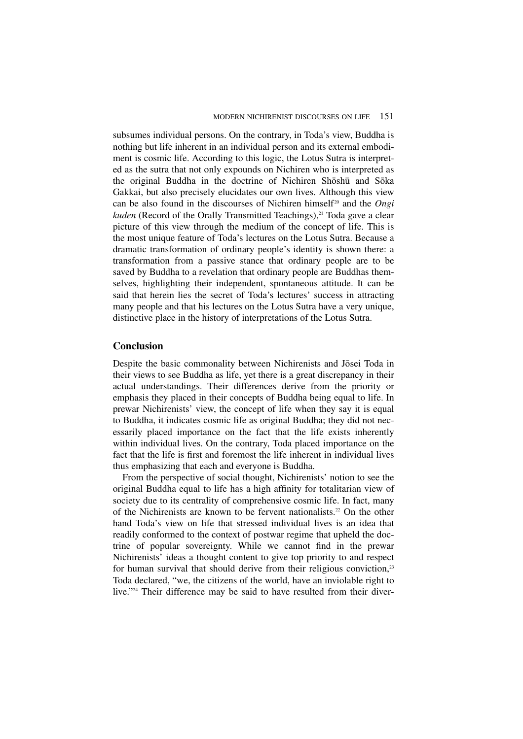subsumes individual persons. On the contrary, in Toda's view, Buddha is nothing but life inherent in an individual person and its external embodiment is cosmic life. According to this logic, the Lotus Sutra is interpreted as the sutra that not only expounds on Nichiren who is interpreted as the original Buddha in the doctrine of Nichiren Shōshū and Sōka Gakkai, but also precisely elucidates our own lives. Although this view can be also found in the discourses of Nichiren himself<sup>20</sup> and the *Ongi kuden* (Record of the Orally Transmitted Teachings),<sup>21</sup> Toda gave a clear picture of this view through the medium of the concept of life. This is the most unique feature of Toda's lectures on the Lotus Sutra. Because a dramatic transformation of ordinary people's identity is shown there: a transformation from a passive stance that ordinary people are to be saved by Buddha to a revelation that ordinary people are Buddhas themselves, highlighting their independent, spontaneous attitude. It can be said that herein lies the secret of Toda's lectures' success in attracting many people and that his lectures on the Lotus Sutra have a very unique, distinctive place in the history of interpretations of the Lotus Sutra.

## **Conclusion**

Despite the basic commonality between Nichirenists and Jōsei Toda in their views to see Buddha as life, yet there is a great discrepancy in their actual understandings. Their differences derive from the priority or emphasis they placed in their concepts of Buddha being equal to life. In prewar Nichirenists' view, the concept of life when they say it is equal to Buddha, it indicates cosmic life as original Buddha; they did not necessarily placed importance on the fact that the life exists inherently within individual lives. On the contrary, Toda placed importance on the fact that the life is first and foremost the life inherent in individual lives thus emphasizing that each and everyone is Buddha.

From the perspective of social thought, Nichirenists' notion to see the original Buddha equal to life has a high affinity for totalitarian view of society due to its centrality of comprehensive cosmic life. In fact, many of the Nichirenists are known to be fervent nationalists.<sup>22</sup> On the other hand Toda's view on life that stressed individual lives is an idea that readily conformed to the context of postwar regime that upheld the doctrine of popular sovereignty. While we cannot find in the prewar Nichirenists' ideas a thought content to give top priority to and respect for human survival that should derive from their religious conviction,<sup>23</sup> Toda declared, "we, the citizens of the world, have an inviolable right to live."<sup>24</sup> Their difference may be said to have resulted from their diver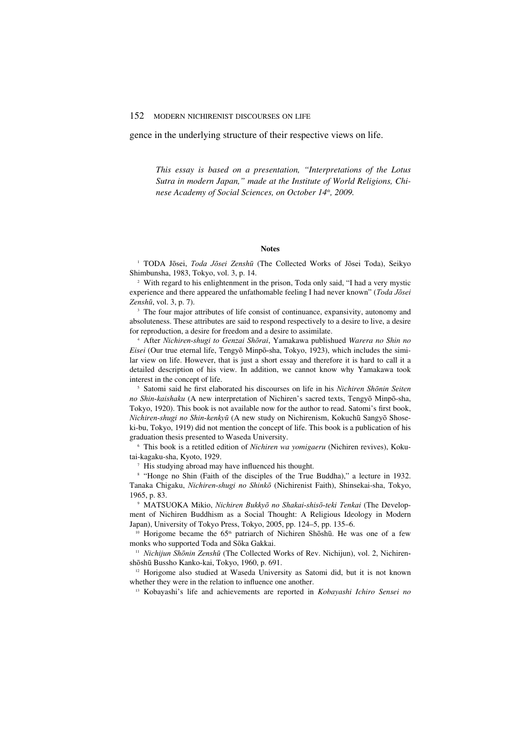gence in the underlying structure of their respective views on life.

*This essay is based on a presentation, "Interpretations of the Lotus Sutra in modern Japan," made at the Institute of World Religions, Chinese Academy of Social Sciences, on October 14<sup>th</sup>, 2009.* 

#### **Notes**

<sup>1</sup> TODA Jōsei, *Toda Jōsei Zenshū* (The Collected Works of Jōsei Toda), Seikyo Shimbunsha, 1983, Tokyo, vol. 3, p. 14.

<sup>2</sup> With regard to his enlightenment in the prison, Toda only said, "I had a very mystic experience and there appeared the unfathomable feeling I had never known" (Toda Jõsei Zenshū, vol.  $3$ , p.  $7$ ).

<sup>3</sup> The four major attributes of life consist of continuance, expansivity, autonomy and absoluteness. These attributes are said to respond respectively to a desire to live, a desire for reproduction, a desire for freedom and a desire to assimilate.

<sup>4</sup> After Nichiren-shugi to Genzai Shōrai, Yamakawa publishued Warera no Shin no *Eisei* (Our true eternal life, Tengyō Minpō-sha, Tokyo, 1923), which includes the similar view on life. However, that is just a short essay and therefore it is hard to call it a detailed description of his view. In addition, we cannot know why Yamakawa took interest in the concept of life.

 $5$  Satomi said he first elaborated his discourses on life in his *Nichiren Shōnin Seiten* no Shin-kaishaku (A new interpretation of Nichiren's sacred texts, Tengyō Minpō-sha, Tokyo, 1920). This book is not available now for the author to read. Satomi's first book, Nichiren-shugi no Shin-kenkyū (A new study on Nichirenism, Kokuchū Sangyō Shoseki-bu, Tokyo, 1919) did not mention the concept of life. This book is a publication of his graduation thesis presented to Waseda University.

<sup>6</sup> This book is a retitled edition of *Nichiren wa yomigaeru* (Nichiren revives), Kokutai-kagaku-sha, Kyoto, 1929.

<sup>7</sup> His studying abroad may have influenced his thought.

<sup>8</sup> "Honge no Shin (Faith of the disciples of the True Buddha)," a lecture in 1932. Tanaka Chigaku, Nichiren-shugi no ShinkØ (Nichirenist Faith), Shinsekai-sha, Tokyo, 1965, p. 83.

<sup>9</sup> MATSUOKA Mikio, Nichiren Bukkyō no Shakai-shisō-teki Tenkai (The Development of Nichiren Buddhism as a Social Thought: A Religious Ideology in Modern Japan), University of Tokyo Press, Tokyo, 2005, pp. 124–5, pp. 135–6.

<sup>10</sup> Horigome became the 65<sup>th</sup> patriarch of Nichiren Shōshū. He was one of a few monks who supported Toda and Sōka Gakkai.

<sup>11</sup> Nichijun Shōnin Zenshū (The Collected Works of Rev. Nichijun), vol. 2, Nichirenshōshū Bussho Kanko-kai, Tokyo, 1960, p. 691.

<sup>12</sup> Horigome also studied at Waseda University as Satomi did, but it is not known whether they were in the relation to influence one another.

<sup>13</sup> Kobayashi's life and achievements are reported in *Kobayashi Ichiro Sensei no*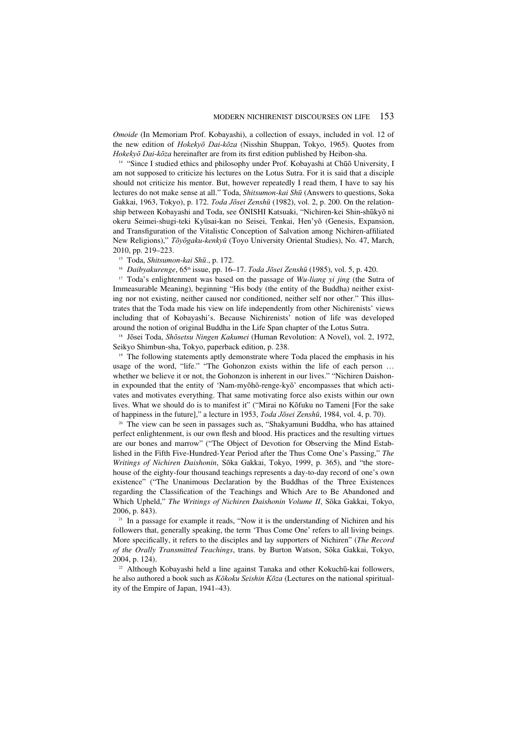*Omoide* (In Memoriam Prof. Kobayashi), a collection of essays, included in vol. 12 of the new edition of Hokekyō Dai-kōza (Nisshin Shuppan, Tokyo, 1965). Quotes from Hokekyō Dai-kōza hereinafter are from its first edition published by Heibon-sha.

 $14$  "Since I studied ethics and philosophy under Prof. Kobayashi at Chūō University, I am not supposed to criticize his lectures on the Lotus Sutra. For it is said that a disciple should not criticize his mentor. But, however repeatedly I read them, I have to say his lectures do not make sense at all." Toda, *Shitsumon-kai Shū* (Answers to questions, Soka Gakkai, 1963, Tokyo), p. 172. Toda Jõsei Zenshū (1982), vol. 2, p. 200. On the relationship between Kobayashi and Toda, see ŌNISHI Katsuaki, "Nichiren-kei Shin-shūkyō ni okeru Seimei-shugi-teki Kyūsai-kan no Seisei, Tenkai, Hen'yō (Genesis, Expansion, and Transfiguration of the Vitalistic Conception of Salvation among Nichiren-affiliated New Religions)," Tōyōgaku-kenkyū (Toyo University Oriental Studies), No. 47, March, 2010, pp. 219–223.

<sup>15</sup> Toda, Shitsumon-kai Shū., p. 172.

<sup>16</sup> *Daibyakurenge*, 65<sup>th</sup> issue, pp. 16–17. Toda Jōsei Zenshū (1985), vol. 5, p. 420.

<sup>17</sup> Toda's enlightenment was based on the passage of *Wu-liang yi jing* (the Sutra of Immeasurable Meaning), beginning "His body (the entity of the Buddha) neither existing nor not existing, neither caused nor conditioned, neither self nor other." This illustrates that the Toda made his view on life independently from other Nichirenists' views including that of Kobayashi's. Because Nichirenists' notion of life was developed around the notion of original Buddha in the Life Span chapter of the Lotus Sutra.

<sup>18</sup> Jōsei Toda, Shōsetsu Ningen Kakumei (Human Revolution: A Novel), vol. 2, 1972, Seikyo Shimbun-sha, Tokyo, paperback edition, p. 238.

<sup>19</sup> The following statements aptly demonstrate where Toda placed the emphasis in his usage of the word, "life." "The Gohonzon exists within the life of each person … whether we believe it or not, the Gohonzon is inherent in our lives." "Nichiren Daishonin expounded that the entity of 'Nam-myōhō-renge-kyō' encompasses that which activates and motivates everything. That same motivating force also exists within our own lives. What we should do is to manifest it" ("Mirai no KØfuku no Tameni [For the sake of happiness in the future]," a lecture in 1953, *Toda Jõsei Zenshū*, 1984, vol. 4, p. 70).

<sup>20</sup> The view can be seen in passages such as, "Shakyamuni Buddha, who has attained perfect enlightenment, is our own flesh and blood. His practices and the resulting virtues are our bones and marrow" ("The Object of Devotion for Observing the Mind Established in the Fifth Five-Hundred-Year Period after the Thus Come One's Passing," *The Writings of Nichiren Daishonin*, Sōka Gakkai, Tokyo, 1999, p. 365), and "the storehouse of the eighty-four thousand teachings represents a day-to-day record of one's own existence" ("The Unanimous Declaration by the Buddhas of the Three Existences regarding the Classification of the Teachings and Which Are to Be Abandoned and Which Upheld," The Writings of Nichiren Daishonin Volume II, Sōka Gakkai, Tokyo, 2006, p. 843).<br><sup>21</sup> In a passage for example it reads, "Now it is the understanding of Nichiren and his

followers that, generally speaking, the term 'Thus Come One' refers to all living beings. More specifically, it refers to the disciples and lay supporters of Nichiren" (*The Record of the Orally Transmitted Teachings*, trans. by Burton Watson, SØka Gakkai, Tokyo, 2004, p. 124).

 $22$  Although Kobayashi held a line against Tanaka and other Kokuchū-kai followers, he also authored a book such as Kōkoku Seishin Kōza (Lectures on the national spirituality of the Empire of Japan, 1941–43).